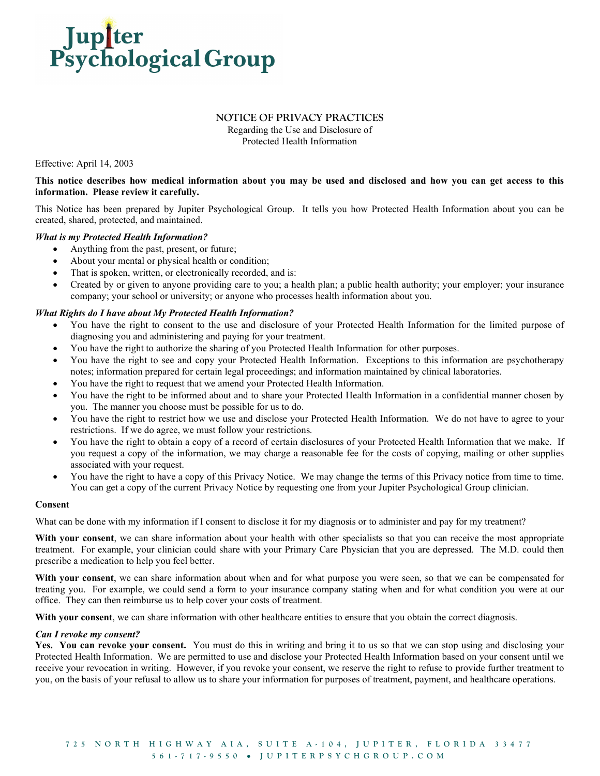

## NOTICE OF PRIVACY PRACTICES

Regarding the Use and Disclosure of Protected Health Information

Effective: April 14, 2003

# This notice describes how medical information about you may be used and disclosed and how you can get access to this information. Please review it carefully.

This Notice has been prepared by Jupiter Psychological Group. It tells you how Protected Health Information about you can be created, shared, protected, and maintained.

## What is my Protected Health Information?

- Anything from the past, present, or future;
- About your mental or physical health or condition;
- That is spoken, written, or electronically recorded, and is:
- Created by or given to anyone providing care to you; a health plan; a public health authority; your employer; your insurance company; your school or university; or anyone who processes health information about you.

## What Rights do I have about My Protected Health Information?

- You have the right to consent to the use and disclosure of your Protected Health Information for the limited purpose of diagnosing you and administering and paying for your treatment.
- You have the right to authorize the sharing of you Protected Health Information for other purposes.
- You have the right to see and copy your Protected Health Information. Exceptions to this information are psychotherapy notes; information prepared for certain legal proceedings; and information maintained by clinical laboratories.
- You have the right to request that we amend your Protected Health Information.
- You have the right to be informed about and to share your Protected Health Information in a confidential manner chosen by you. The manner you choose must be possible for us to do.
- You have the right to restrict how we use and disclose your Protected Health Information. We do not have to agree to your restrictions. If we do agree, we must follow your restrictions.
- You have the right to obtain a copy of a record of certain disclosures of your Protected Health Information that we make. If you request a copy of the information, we may charge a reasonable fee for the costs of copying, mailing or other supplies associated with your request.
- You have the right to have a copy of this Privacy Notice. We may change the terms of this Privacy notice from time to time. You can get a copy of the current Privacy Notice by requesting one from your Jupiter Psychological Group clinician.

### Consent

What can be done with my information if I consent to disclose it for my diagnosis or to administer and pay for my treatment?

With your consent, we can share information about your health with other specialists so that you can receive the most appropriate treatment. For example, your clinician could share with your Primary Care Physician that you are depressed. The M.D. could then prescribe a medication to help you feel better.

With your consent, we can share information about when and for what purpose you were seen, so that we can be compensated for treating you. For example, we could send a form to your insurance company stating when and for what condition you were at our office. They can then reimburse us to help cover your costs of treatment.

With your consent, we can share information with other healthcare entities to ensure that you obtain the correct diagnosis.

### Can I revoke my consent?

Yes. You can revoke your consent. You must do this in writing and bring it to us so that we can stop using and disclosing your Protected Health Information. We are permitted to use and disclose your Protected Health Information based on your consent until we receive your revocation in writing. However, if you revoke your consent, we reserve the right to refuse to provide further treatment to you, on the basis of your refusal to allow us to share your information for purposes of treatment, payment, and healthcare operations.